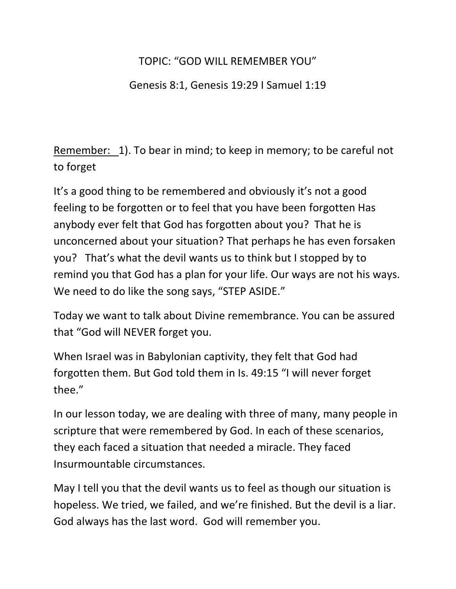## TOPIC: "GOD WILL REMEMBER YOU"

Genesis 8:1, Genesis 19:29 I Samuel 1:19

Remember: 1). To bear in mind; to keep in memory; to be careful not to forget

It's a good thing to be remembered and obviously it's not a good feeling to be forgotten or to feel that you have been forgotten Has anybody ever felt that God has forgotten about you? That he is unconcerned about your situation? That perhaps he has even forsaken you? That's what the devil wants us to think but I stopped by to remind you that God has a plan for your life. Our ways are not his ways. We need to do like the song says, "STEP ASIDE."

Today we want to talk about Divine remembrance. You can be assured that "God will NEVER forget you.

When Israel was in Babylonian captivity, they felt that God had forgotten them. But God told them in Is. 49:15 "I will never forget thee."

In our lesson today, we are dealing with three of many, many people in scripture that were remembered by God. In each of these scenarios, they each faced a situation that needed a miracle. They faced Insurmountable circumstances.

May I tell you that the devil wants us to feel as though our situation is hopeless. We tried, we failed, and we're finished. But the devil is a liar. God always has the last word. God will remember you.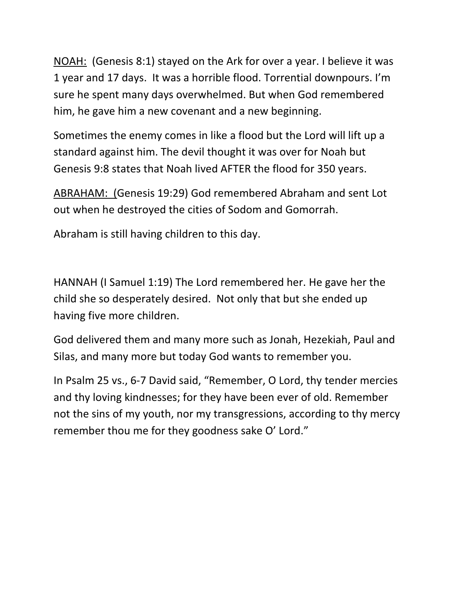NOAH: (Genesis 8:1) stayed on the Ark for over a year. I believe it was 1 year and 17 days. It was a horrible flood. Torrential downpours. I'm sure he spent many days overwhelmed. But when God remembered him, he gave him a new covenant and a new beginning.

Sometimes the enemy comes in like a flood but the Lord will lift up a standard against him. The devil thought it was over for Noah but Genesis 9:8 states that Noah lived AFTER the flood for 350 years.

ABRAHAM: (Genesis 19:29) God remembered Abraham and sent Lot out when he destroyed the cities of Sodom and Gomorrah.

Abraham is still having children to this day.

HANNAH (I Samuel 1:19) The Lord remembered her. He gave her the child she so desperately desired. Not only that but she ended up having five more children.

God delivered them and many more such as Jonah, Hezekiah, Paul and Silas, and many more but today God wants to remember you.

In Psalm 25 vs., 6-7 David said, "Remember, O Lord, thy tender mercies and thy loving kindnesses; for they have been ever of old. Remember not the sins of my youth, nor my transgressions, according to thy mercy remember thou me for they goodness sake O' Lord."